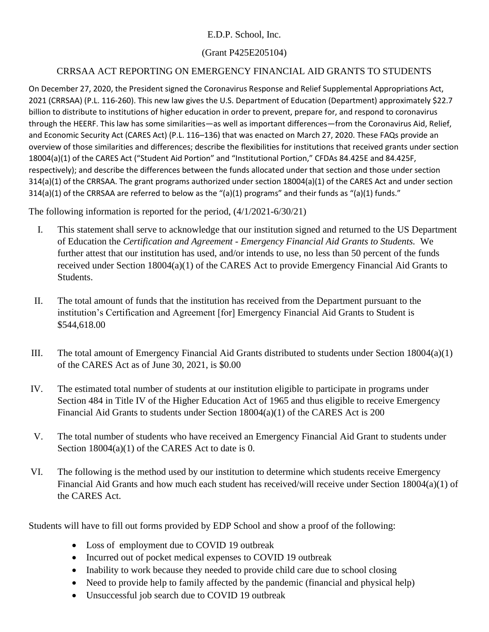## E.D.P. School, Inc.

## (Grant P425E205104)

## CRRSAA ACT REPORTING ON EMERGENCY FINANCIAL AID GRANTS TO STUDENTS

On December 27, 2020, the President signed the Coronavirus Response and Relief Supplemental Appropriations Act, 2021 (CRRSAA) (P.L. 116-260). This new law gives the U.S. Department of Education (Department) approximately \$22.7 billion to distribute to institutions of higher education in order to prevent, prepare for, and respond to coronavirus through the HEERF. This law has some similarities—as well as important differences—from the Coronavirus Aid, Relief, and Economic Security Act (CARES Act) (P.L. 116–136) that was enacted on March 27, 2020. These FAQs provide an overview of those similarities and differences; describe the flexibilities for institutions that received grants under section 18004(a)(1) of the CARES Act ("Student Aid Portion" and "Institutional Portion," CFDAs 84.425E and 84.425F, respectively); and describe the differences between the funds allocated under that section and those under section 314(a)(1) of the CRRSAA. The grant programs authorized under section 18004(a)(1) of the CARES Act and under section 314(a)(1) of the CRRSAA are referred to below as the "(a)(1) programs" and their funds as "(a)(1) funds."

The following information is reported for the period, (4/1/2021-6/30/21)

- I. This statement shall serve to acknowledge that our institution signed and returned to the US Department of Education the *Certification and Agreement - Emergency Financial Aid Grants to Students.* We further attest that our institution has used, and/or intends to use, no less than 50 percent of the funds received under Section 18004(a)(1) of the CARES Act to provide Emergency Financial Aid Grants to Students.
- II. The total amount of funds that the institution has received from the Department pursuant to the institution's Certification and Agreement [for] Emergency Financial Aid Grants to Student is \$544,618.00
- III. The total amount of Emergency Financial Aid Grants distributed to students under Section 18004(a)(1) of the CARES Act as of June 30, 2021, is \$0.00
- IV. The estimated total number of students at our institution eligible to participate in programs under Section 484 in Title IV of the Higher Education Act of 1965 and thus eligible to receive Emergency Financial Aid Grants to students under Section 18004(a)(1) of the CARES Act is 200
- V. The total number of students who have received an Emergency Financial Aid Grant to students under Section 18004(a)(1) of the CARES Act to date is 0.
- VI. The following is the method used by our institution to determine which students receive Emergency Financial Aid Grants and how much each student has received/will receive under Section 18004(a)(1) of the CARES Act.

Students will have to fill out forms provided by EDP School and show a proof of the following:

- Loss of employment due to COVID 19 outbreak
- Incurred out of pocket medical expenses to COVID 19 outbreak
- Inability to work because they needed to provide child care due to school closing
- Need to provide help to family affected by the pandemic (financial and physical help)
- Unsuccessful job search due to COVID 19 outbreak